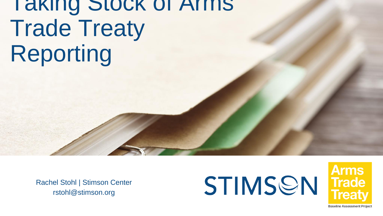# Taking Stock of Arms Trade Treaty Reporting

Rachel Stohl | Stimson Center rstohl@stimson.org





**Baseline Assessment Project**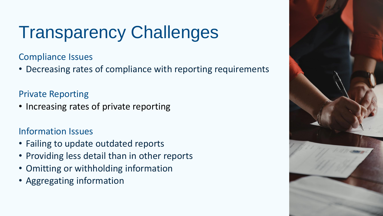## Transparency Challenges

Compliance Issues

• Decreasing rates of compliance with reporting requirements

### Private Reporting

• Increasing rates of private reporting

### Information Issues

- Failing to update outdated reports
- Providing less detail than in other reports
- Omitting or withholding information
- Aggregating information

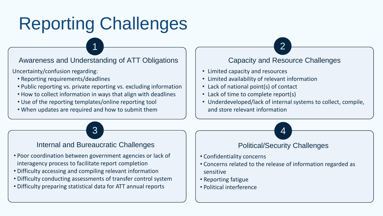## Reporting Challenges

Awareness and Understanding of ATT Obligations

Uncertainty/confusion regarding:

- Reporting requirements/deadlines
- Public reporting vs. private reporting vs. excluding information
- How to collect information in ways that align with deadlines
- Use of the reporting templates/online reporting tool
- When updates are required and how to submit them

#### Capacity and Resource Challenges

• Limited capacity and resources

 $\sim$  1 2

 $\overline{\textbf{3}}$   $\overline{\textbf{4}}$ 

- Limited availability of relevant information
- Lack of national point(s) of contact
- Lack of time to complete report(s)
- Underdeveloped/lack of internal systems to collect, compile, and store relevant information

#### Internal and Bureaucratic Challenges

- Poor coordination between government agencies or lack of interagency process to facilitate report completion
- Difficulty accessing and compiling relevant information
- Difficulty conducting assessments of transfer control system
- Difficulty preparing statistical data for ATT annual reports

#### Political/Security Challenges

- Confidentiality concerns
- Concerns related to the release of information regarded as sensitive
- Reporting fatigue
- Political interference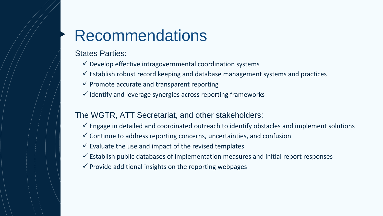### Recommendations

States Parties:

- $\checkmark$  Develop effective intragovernmental coordination systems
- $\checkmark$  Establish robust record keeping and database management systems and practices
- $\checkmark$  Promote accurate and transparent reporting
- $\checkmark$  Identify and leverage synergies across reporting frameworks

#### The WGTR, ATT Secretariat, and other stakeholders:

- $\checkmark$  Engage in detailed and coordinated outreach to identify obstacles and implement solutions
- $\checkmark$  Continue to address reporting concerns, uncertainties, and confusion
- $\checkmark$  Evaluate the use and impact of the revised templates
- $\checkmark$  Establish public databases of implementation measures and initial report responses
- $\checkmark$  Provide additional insights on the reporting webpages